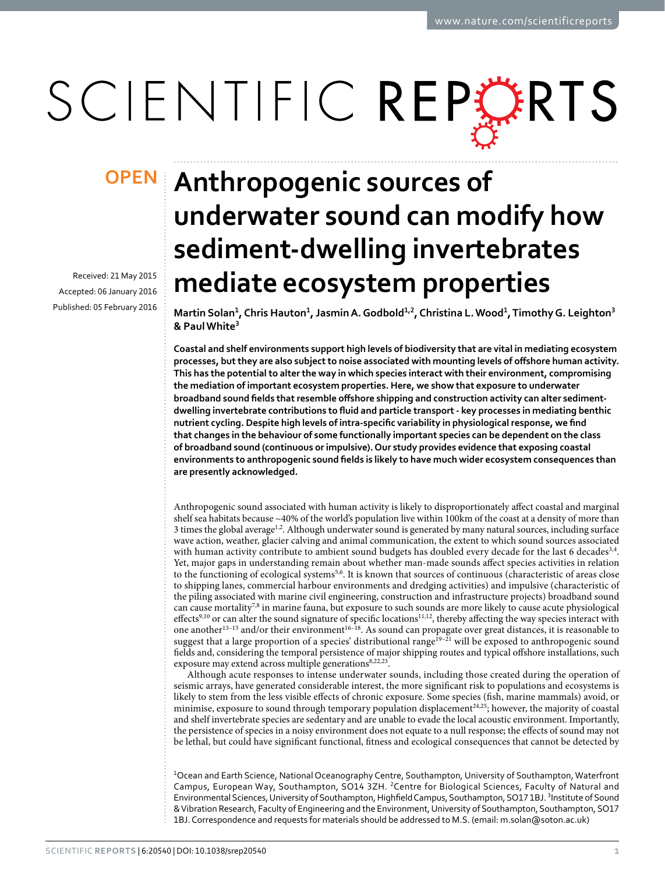# SCIENTIFIC REPERTS

Received: 21 May 2015 accepted: 06 January 2016 Published: 05 February 2016

## **Anthropogenic sources of OPENunderwater sound can modify how sediment-dwelling invertebrates mediate ecosystem properties**

**Martin Solan<sup>1</sup>, Chris Hauton<sup>1</sup>, JasminA.Godbold<sup>1</sup>,<sup>2</sup>, Christina L.Wood<sup>1</sup>, Timothy G. Leighton<sup>3</sup> & PaulWhite<sup>3</sup>**

**Coastal and shelf environments support high levels of biodiversity that are vital in mediating ecosystem processes, but they are also subject to noise associated with mounting levels of offshore human activity. This has the potential to alter the way in which species interact with their environment, compromising the mediation of important ecosystem properties. Here, we show that exposure to underwater broadband sound fields that resemble offshore shipping and construction activity can alter sedimentdwelling invertebrate contributions to fluid and particle transport - key processes in mediating benthic nutrient cycling. Despite high levels of intra-specific variability in physiological response, we find that changes in the behaviour of some functionally important species can be dependent on the class of broadband sound (continuous or impulsive). Our study provides evidence that exposing coastal environments to anthropogenic sound fields is likely to have much wider ecosystem consequences than are presently acknowledged.**

Anthropogenic sound associated with human activity is likely to disproportionately affect coastal and marginal shelf sea habitats because ~40% of the world's population live within 100km of the coast at a density of more than 3 times the global averag[e1](#page-6-0)[,2](#page-6-1). Although underwater sound is generated by many natural sources, including surface wave action, weather, glacier calving and animal communication, the extent to which sound sources associated with human activity contribute to ambient sound budgets has doubled every decade for the last 6 decades<sup>3,4</sup>. Yet, major gaps in understanding remain about whether man-made sounds affect species activities in relation to the functioning of ecological systems<sup>[5](#page-6-4)[,6](#page-6-5)</sup>. It is known that sources of continuous (characteristic of areas close to shipping lanes, commercial harbour environments and dredging activities) and impulsive (characteristic of the piling associated with marine civil engineering, construction and infrastructure projects) broadband sound can cause mortality<sup>[7](#page-6-6),8</sup> in marine fauna, but exposure to such sounds are more likely to cause acute physiological effects<sup>9,10</sup> or can alter the sound signature of specific locations<sup>[11](#page-6-10),[12](#page-6-11)</sup>, thereby affecting the way species interact with one another<sup>13–15</sup> and/or their environment<sup>[16–18](#page-6-13)</sup>. As sound can propagate over great distances, it is reasonable to suggest that a large proportion of a species' distributional range<sup>19-21</sup> will be exposed to anthropogenic sound fields and, considering the temporal persistence of major shipping routes and typical offshore installations, such exposure may extend across multiple generations<sup>[8](#page-6-7),[22](#page-6-15),[23](#page-6-16)</sup>.

Although acute responses to intense underwater sounds, including those created during the operation of seismic arrays, have generated considerable interest, the more significant risk to populations and ecosystems is likely to stem from the less visible effects of chronic exposure. Some species (fish, marine mammals) avoid, or minimise, exposure to sound through temporary population displacement<sup>[24](#page-6-17),[25](#page-6-18)</sup>; however, the majority of coastal and shelf invertebrate species are sedentary and are unable to evade the local acoustic environment. Importantly, the persistence of species in a noisy environment does not equate to a null response; the effects of sound may not be lethal, but could have significant functional, fitness and ecological consequences that cannot be detected by

1 Ocean and Earth Science, National Oceanography Centre, Southampton, University of Southampton, Waterfront Campus, European Way, Southampton, SO14 3ZH. 2Centre for Biological Sciences, Faculty of Natural and Environmental Sciences, University of Southampton, Highfield Campus, Southampton, SO171BJ. <sup>3</sup>Institute of Sound & Vibration Research, Faculty of Engineering and the Environment, University of Southampton, Southampton, SO17 1BJ. Correspondence and requests for materials should be addressed to M.S. (email: [m.solan@soton.ac.uk](mailto:m.solan@soton.ac.uk))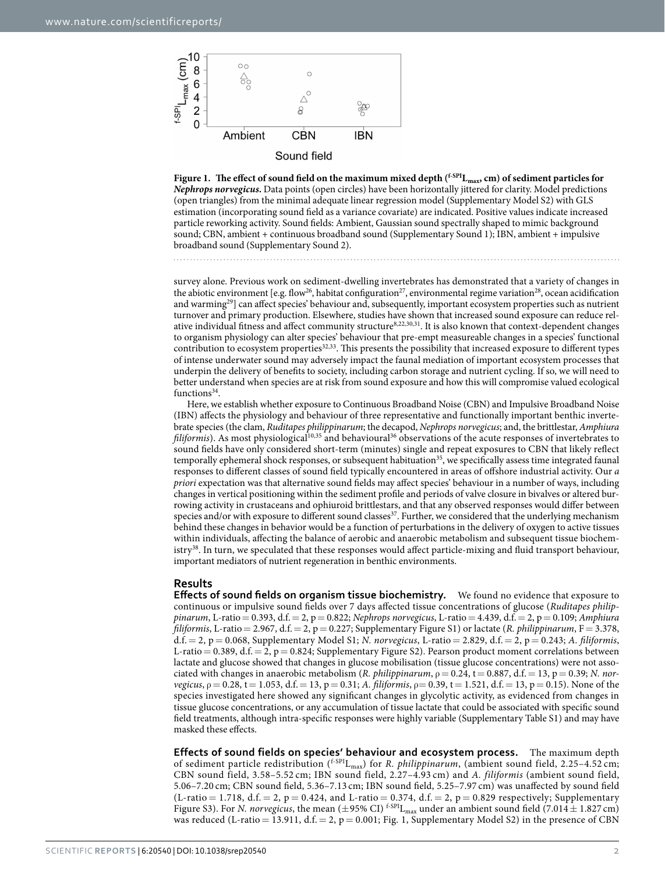

<span id="page-1-0"></span>Figure 1. The effect of sound field on the maximum mixed depth (<sup>f-SPI</sup>L<sub>max</sub>, cm) of sediment particles for *Nephrops norvegicus***.** Data points (open circles) have been horizontally jittered for clarity. Model predictions (open triangles) from the minimal adequate linear regression model (Supplementary Model S2) with GLS estimation (incorporating sound field as a variance covariate) are indicated. Positive values indicate increased particle reworking activity. Sound fields: Ambient, Gaussian sound spectrally shaped to mimic background sound; CBN, ambient + continuous broadband sound (Supplementary Sound 1); IBN, ambient + impulsive broadband sound (Supplementary Sound 2).

survey alone. Previous work on sediment-dwelling invertebrates has demonstrated that a variety of changes in the abiotic environment [e.g. flow<sup>[26](#page-6-19)</sup>, habitat configuration<sup>[27](#page-6-20)</sup>, environmental regime variation<sup>[28](#page-6-21)</sup>, ocean acidification and warming<sup>29</sup>] can affect species' behaviour and, subsequently, important ecosystem properties such as nutrient turnover and primary production. Elsewhere, studies have shown that increased sound exposure can reduce relative individual fitness and affect community structure[8](#page-6-7),[22](#page-6-15),[30](#page-6-23),[31.](#page-6-24) It is also known that context-dependent changes to organism physiology can alter species' behaviour that pre-empt measureable changes in a species' functional contribution to ecosystem properties<sup>32[,33](#page-7-1)</sup>. This presents the possibility that increased exposure to different types of intense underwater sound may adversely impact the faunal mediation of important ecosystem processes that underpin the delivery of benefits to society, including carbon storage and nutrient cycling. If so, we will need to better understand when species are at risk from sound exposure and how this will compromise valued ecological functions<sup>[34](#page-7-2)</sup>.

Here, we establish whether exposure to Continuous Broadband Noise (CBN) and Impulsive Broadband Noise (IBN) affects the physiology and behaviour of three representative and functionally important benthic invertebrate species (the clam, *Ruditapes philippinarum*; the decapod, *Nephrops norvegicus*; and, the brittlestar, *Amphiura filiformis*). As most physiological<sup>10,[35](#page-7-3)</sup> and behavioural<sup>[36](#page-7-4)</sup> observations of the acute responses of invertebrates to sound fields have only considered short-term (minutes) single and repeat exposures to CBN that likely reflect temporally ephemeral shock responses, or subsequent habituation<sup>[35](#page-7-3)</sup>, we specifically assess time integrated faunal responses to different classes of sound field typically encountered in areas of offshore industrial activity. Our *a priori* expectation was that alternative sound fields may affect species' behaviour in a number of ways, including changes in vertical positioning within the sediment profile and periods of valve closure in bivalves or altered burrowing activity in crustaceans and ophiuroid brittlestars, and that any observed responses would differ between species and/or with exposure to different sound classes<sup>37</sup>. Further, we considered that the underlying mechanism behind these changes in behavior would be a function of perturbations in the delivery of oxygen to active tissues within individuals, affecting the balance of aerobic and anaerobic metabolism and subsequent tissue biochemistry<sup>38</sup>. In turn, we speculated that these responses would affect particle-mixing and fluid transport behaviour, important mediators of nutrient regeneration in benthic environments.

#### **Results**

**Effects of sound fields on organism tissue biochemistry.** We found no evidence that exposure to continuous or impulsive sound fields over 7 days affected tissue concentrations of glucose (*Ruditapes philippinarum*, L-ratio= 0.393, d.f.= 2, p= 0.822; *Nephrops norvegicus*, L-ratio= 4.439, d.f.= 2, p= 0.109; *Amphiura filiformis*, L-ratio= 2.967, d.f.= 2, p= 0.227; Supplementary Figure S1) or lactate (*R. philippinarum*, F= 3.378, d.f.= 2, p= 0.068, Supplementary Model S1; *N. norvegicus*, L-ratio = 2.829, d.f. = 2, p= 0.243; *A. filiformis*, L-ratio = 0.389, d.f. = 2, p = 0.824; Supplementary Figure S2). Pearson product moment correlations between lactate and glucose showed that changes in glucose mobilisation (tissue glucose concentrations) were not associated with changes in anaerobic metabolism (*R. philippinarum*,  $\rho = 0.24$ ,  $t = 0.887$ , d.f. = 13, p = 0.39; *N. norvegicus*,  $\rho = 0.28$ ,  $t = 1.053$ , d.f. = 13, p = 0.31; *A. filiformis*,  $\rho = 0.39$ ,  $t = 1.521$ , d.f. = 13, p = 0.15). None of the species investigated here showed any significant changes in glycolytic activity, as evidenced from changes in tissue glucose concentrations, or any accumulation of tissue lactate that could be associated with specific sound field treatments, although intra-specific responses were highly variable (Supplementary Table S1) and may have masked these effects.

**Effects of sound fields on species' behaviour and ecosystem process.** The maximum depth of sediment particle redistribution (<sup>f-SPI</sup>L<sub>max</sub>) for *R. philippinarum*, (ambient sound field, 2.25-4.52 cm; CBN sound field, 3.58–5.52 cm; IBN sound field, 2.27–4.93 cm) and *A. filiformis* (ambient sound field, 5.06–7.20 cm; CBN sound field, 5.36–7.13 cm; IBN sound field, 5.25–7.97 cm) was unaffected by sound field  $(L-ratio = 1.718, d.f. = 2, p = 0.424, and L-ratio = 0.374, d.f. = 2, p = 0.829$  respectively; Supplementary Figure S3). For *N. norvegicus*, the mean ( $\pm$ 95% CI) <sup>f-SPI</sup>L<sub>max</sub> under an ambient sound field (7.014 $\pm$ 1.827 cm) was reduced (L-ratio = 13.911, d.f. = 2,  $p = 0.001$ ; [Fig. 1,](#page-1-0) Supplementary Model S2) in the presence of CBN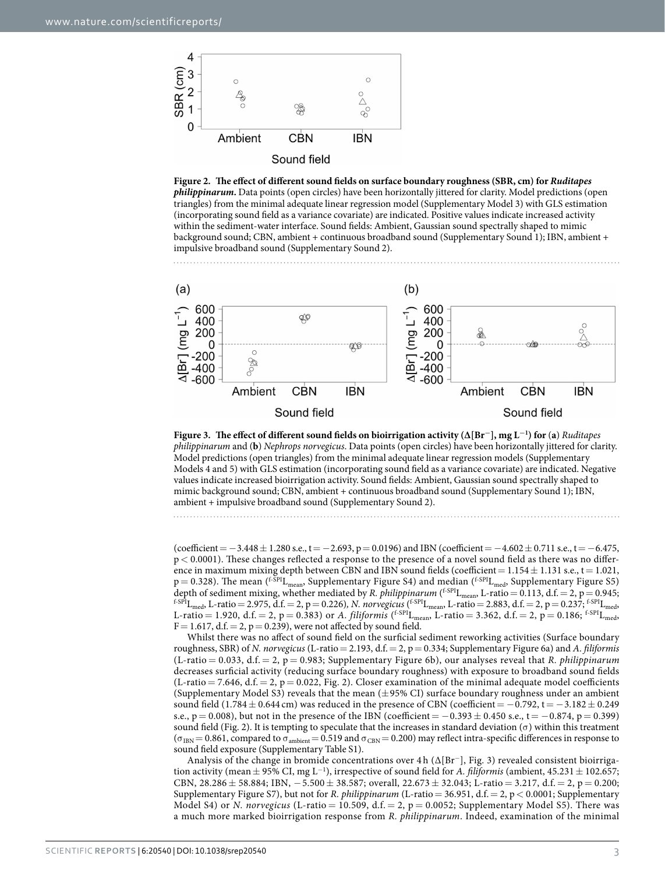

<span id="page-2-0"></span>



<span id="page-2-1"></span>

(coefficient =  $-3.448 \pm 1.280$  s.e., t =  $-2.693$ , p = 0.0196) and IBN (coefficient =  $-4.602 \pm 0.711$  s.e., t =  $-6.475$ , p< 0.0001). These changes reflected a response to the presence of a novel sound field as there was no difference in maximum mixing depth between CBN and IBN sound fields (coefficient =  $1.154 \pm 1.131$  s.e., t = 1.021,  $p = 0.328$ ). The mean (<sup>f-SPI</sup>L<sub>mean</sub>, Supplementary Figure S4) and median (<sup>f-SPI</sup>L<sub>med</sub>, Supplementary Figure S5) depth of sediment mixing, whether mediated by *R. philippinarum* (<sup>f.SpI</sup>L<sub>mean</sub>, L-ratio = 0.113, d.f. = 2, p = 0.945;<br><sup>f.SpI</sup>L<sub>med</sub>, L-ratio = 2.975, d.f. = 2, p = 0.226), *N. norvegicus* (<sup>f.SpI</sup>L<sub>mean</sub>, L-ratio = 2.88 L-ratio = 1.920, d.f. = 2, p = 0.383) or *A. filiformis* (<sup>f-SPI</sup>L<sub>mean</sub>, L-ratio = 3.362, d.f. = 2, p = 0.186; <sup>f-SPI</sup>L<sub>med</sub>,  $F = 1.617$ , d.f.  $= 2$ ,  $p = 0.239$ ), were not affected by sound field.

Whilst there was no affect of sound field on the surficial sediment reworking activities (Surface boundary roughness, SBR) of *N. norvegicus* (L-ratio= 2.193, d.f.= 2, p= 0.334; Supplementary Figure 6a) and *A. filiformis* (L-ratio = 0.033, d.f. = 2, p = 0.983; Supplementary Figure 6b), our analyses reveal that *R. philippinarum* decreases surficial activity (reducing surface boundary roughness) with exposure to broadband sound fields  $(L-ratio = 7.646, d.f. = 2, p = 0.022, Fig. 2)$  $(L-ratio = 7.646, d.f. = 2, p = 0.022, Fig. 2)$ . Closer examination of the minimal adequate model coefficients (Supplementary Model S3) reveals that the mean (±95% CI) surface boundary roughness under an ambient sound field (1.784  $\pm$  0.644 cm) was reduced in the presence of CBN (coefficient =  $-0.792$ , t =  $-3.182 \pm 0.249$ s.e.,  $p = 0.008$ ), but not in the presence of the IBN (coefficient =  $-0.393 \pm 0.450$  s.e., t =  $-0.874$ ,  $p = 0.399$ ) sound field ([Fig. 2\)](#page-2-0). It is tempting to speculate that the increases in standard deviation (σ) within this treatment  $(\sigma_{IBN}= 0.861,$  compared to  $\sigma_{ambient}= 0.519$  and  $\sigma_{CBN}= 0.200$ ) may reflect intra-specific differences in response to sound field exposure (Supplementary Table S1).

Analysis of the change in bromide concentrations over 4 h ( $\Delta [Br^-]$ , [Fig. 3](#page-2-1)) revealed consistent bioirrigation activity (mean  $\pm$  95% CI, mg L<sup>-1</sup>), irrespective of sound field for *A. filiformis* (ambient, 45.231  $\pm$  102.657; CBN, 28.286  $\pm$  58.884; IBN,  $-5.500 \pm 38.587$ ; overall, 22.673  $\pm$  32.043; L-ratio = 3.217, d.f. = 2, p = 0.200; Supplementary Figure S7), but not for *R. philippinarum* (L-ratio= 36.951, d.f.= 2, p< 0.0001; Supplementary Model S4) or *N. norvegicus* (L-ratio = 10.509, d.f. = 2, p = 0.0052; Supplementary Model S5). There was a much more marked bioirrigation response from *R. philippinarum*. Indeed, examination of the minimal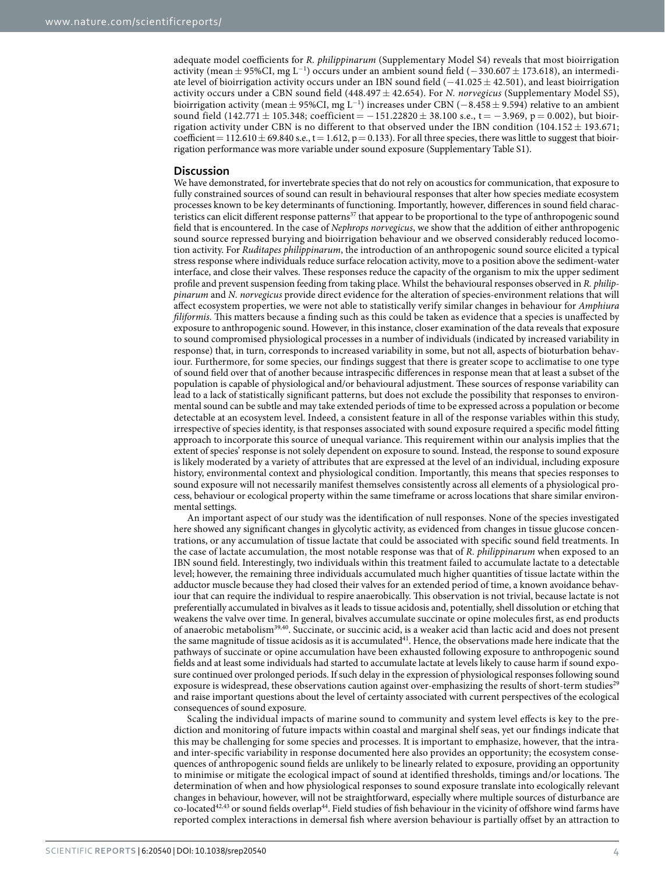adequate model coefficients for *R. philippinarum* (Supplementary Model S4) reveals that most bioirrigation activity (mean ± 95%CI, mg L<sup>−1</sup>) occurs under an ambient sound field (−330.607 ± 173.618), an intermediate level of bioirrigation activity occurs under an IBN sound field (−41.025± 42.501), and least bioirrigation activity occurs under a CBN sound field (448.497 ± 42.654). For *N. norvegicus* (Supplementary Model S5), bioirrigation activity (mean  $\pm$  95%CI, mg L<sup>−1</sup>) increases under CBN (−8.458 $\pm$  9.594) relative to an ambient sound field (142.771 ± 105.348; coefficient =  $-151.22820 \pm 38.100$  s.e., t =  $-3.969$ , p = 0.002), but bioirrigation activity under CBN is no different to that observed under the IBN condition (104.152  $\pm$  193.671; coefficient =  $112.610 \pm 69.840$  s.e., t = 1.612, p = 0.133). For all three species, there was little to suggest that bioirrigation performance was more variable under sound exposure (Supplementary Table S1).

#### **Discussion**

We have demonstrated, for invertebrate species that do not rely on acoustics for communication, that exposure to fully constrained sources of sound can result in behavioural responses that alter how species mediate ecosystem processes known to be key determinants of functioning. Importantly, however, differences in sound field charac-teristics can elicit different response patterns<sup>[37](#page-7-5)</sup> that appear to be proportional to the type of anthropogenic sound field that is encountered. In the case of *Nephrops norvegicus*, we show that the addition of either anthropogenic sound source repressed burying and bioirrigation behaviour and we observed considerably reduced locomotion activity. For *Ruditapes philippinarum*, the introduction of an anthropogenic sound source elicited a typical stress response where individuals reduce surface relocation activity, move to a position above the sediment-water interface, and close their valves. These responses reduce the capacity of the organism to mix the upper sediment profile and prevent suspension feeding from taking place. Whilst the behavioural responses observed in *R. philippinarum* and *N. norvegicus* provide direct evidence for the alteration of species-environment relations that will affect ecosystem properties, we were not able to statistically verify similar changes in behaviour for *Amphiura filiformis.* This matters because a finding such as this could be taken as evidence that a species is unaffected by exposure to anthropogenic sound. However, in this instance, closer examination of the data reveals that exposure to sound compromised physiological processes in a number of individuals (indicated by increased variability in response) that, in turn, corresponds to increased variability in some, but not all, aspects of bioturbation behaviour. Furthermore, for some species, our findings suggest that there is greater scope to acclimatise to one type of sound field over that of another because intraspecific differences in response mean that at least a subset of the population is capable of physiological and/or behavioural adjustment. These sources of response variability can lead to a lack of statistically significant patterns, but does not exclude the possibility that responses to environmental sound can be subtle and may take extended periods of time to be expressed across a population or become detectable at an ecosystem level. Indeed, a consistent feature in all of the response variables within this study, irrespective of species identity, is that responses associated with sound exposure required a specific model fitting approach to incorporate this source of unequal variance. This requirement within our analysis implies that the extent of species' response is not solely dependent on exposure to sound. Instead, the response to sound exposure is likely moderated by a variety of attributes that are expressed at the level of an individual, including exposure history, environmental context and physiological condition. Importantly, this means that species responses to sound exposure will not necessarily manifest themselves consistently across all elements of a physiological process, behaviour or ecological property within the same timeframe or across locations that share similar environmental settings.

An important aspect of our study was the identification of null responses. None of the species investigated here showed any significant changes in glycolytic activity, as evidenced from changes in tissue glucose concentrations, or any accumulation of tissue lactate that could be associated with specific sound field treatments. In the case of lactate accumulation, the most notable response was that of *R. philippinarum* when exposed to an IBN sound field. Interestingly, two individuals within this treatment failed to accumulate lactate to a detectable level; however, the remaining three individuals accumulated much higher quantities of tissue lactate within the adductor muscle because they had closed their valves for an extended period of time, a known avoidance behaviour that can require the individual to respire anaerobically. This observation is not trivial, because lactate is not preferentially accumulated in bivalves as it leads to tissue acidosis and, potentially, shell dissolution or etching that weakens the valve over time. In general, bivalves accumulate succinate or opine molecules first, as end products of anaerobic metabolism[39](#page-7-7),[40](#page-7-8). Succinate, or succinic acid, is a weaker acid than lactic acid and does not present the same magnitude of tissue acidosis as it is accumulated<sup>[41](#page-7-9)</sup>. Hence, the observations made here indicate that the pathways of succinate or opine accumulation have been exhausted following exposure to anthropogenic sound fields and at least some individuals had started to accumulate lactate at levels likely to cause harm if sound exposure continued over prolonged periods. If such delay in the expression of physiological responses following sound exposure is widespread, these observations caution against over-emphasizing the results of short-term studies<sup>[29](#page-6-22)</sup> and raise important questions about the level of certainty associated with current perspectives of the ecological consequences of sound exposure.

Scaling the individual impacts of marine sound to community and system level effects is key to the prediction and monitoring of future impacts within coastal and marginal shelf seas, yet our findings indicate that this may be challenging for some species and processes. It is important to emphasize, however, that the intraand inter-specific variability in response documented here also provides an opportunity; the ecosystem consequences of anthropogenic sound fields are unlikely to be linearly related to exposure, providing an opportunity to minimise or mitigate the ecological impact of sound at identified thresholds, timings and/or locations. The determination of when and how physiological responses to sound exposure translate into ecologically relevant changes in behaviour, however, will not be straightforward, especially where multiple sources of disturbance are co-located<sup>42,43</sup> or sound fields overlap<sup>44</sup>. Field studies of fish behaviour in the vicinity of offshore wind farms have reported complex interactions in demersal fish where aversion behaviour is partially offset by an attraction to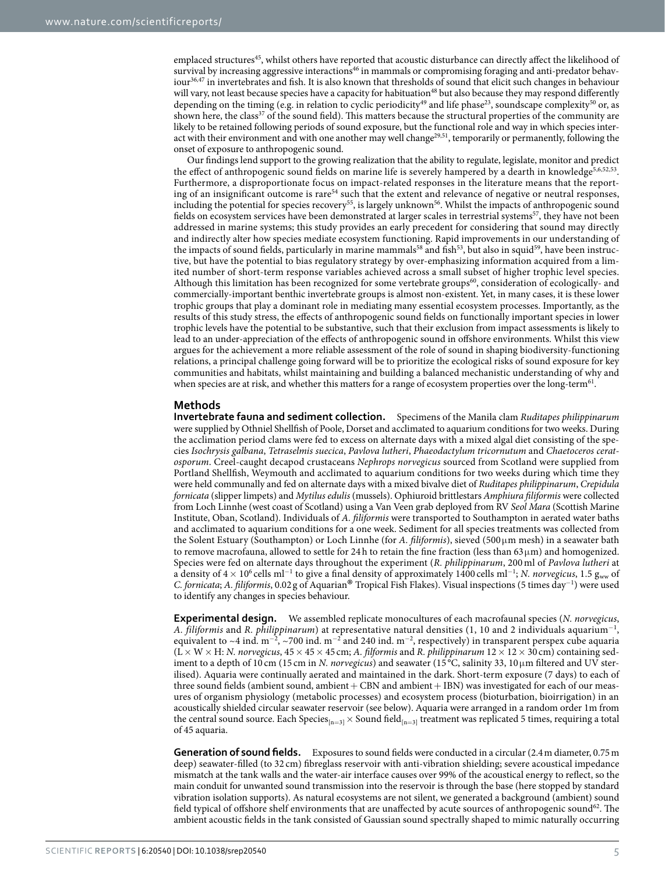emplaced structures<sup>45</sup>, whilst others have reported that acoustic disturbance can directly affect the likelihood of survival by increasing aggressive interactions<sup>46</sup> in mammals or compromising foraging and anti-predator behaviour[36](#page-7-4),[47](#page-7-15) in invertebrates and fish. It is also known that thresholds of sound that elicit such changes in behaviour will vary, not least because species have a capacity for habituation<sup>48</sup> but also because they may respond differently depending on the timing (e.g. in relation to cyclic periodicity<sup>49</sup> and life phase<sup>23</sup>, soundscape complexity<sup>50</sup> or, as shown here, the class<sup>[37](#page-7-5)</sup> of the sound field). This matters because the structural properties of the community are likely to be retained following periods of sound exposure, but the functional role and way in which species interact with their environment and with one another may well change[29](#page-6-22),[51](#page-7-19), temporarily or permanently, following the onset of exposure to anthropogenic sound.

Our findings lend support to the growing realization that the ability to regulate, legislate, monitor and predict the effect of anthropogenic sound fields on marine life is severely hampered by a dearth in knowledge<sup>[5](#page-6-4)[,6](#page-6-5),[52](#page-7-20),53</sup>. Furthermore, a disproportionate focus on impact-related responses in the literature means that the reporting of an insignificant outcome is rare<sup>54</sup> such that the extent and relevance of negative or neutral responses, including the potential for species recovery<sup>[55](#page-7-23)</sup>, is largely unknown<sup>[56](#page-7-24)</sup>. Whilst the impacts of anthropogenic sound fields on ecosystem services have been demonstrated at larger scales in terrestrial systems<sup>57</sup>, they have not been addressed in marine systems; this study provides an early precedent for considering that sound may directly and indirectly alter how species mediate ecosystem functioning. Rapid improvements in our understanding of the impacts of sound fields, particularly in marine mammals<sup>58</sup> and fish<sup>53</sup>, but also in squid<sup>59</sup>, have been instructive, but have the potential to bias regulatory strategy by over-emphasizing information acquired from a limited number of short-term response variables achieved across a small subset of higher trophic level species. Although this limitation has been recognized for some vertebrate groups<sup>60</sup>, consideration of ecologically- and commercially-important benthic invertebrate groups is almost non-existent. Yet, in many cases, it is these lower trophic groups that play a dominant role in mediating many essential ecosystem processes. Importantly, as the results of this study stress, the effects of anthropogenic sound fields on functionally important species in lower trophic levels have the potential to be substantive, such that their exclusion from impact assessments is likely to lead to an under-appreciation of the effects of anthropogenic sound in offshore environments. Whilst this view argues for the achievement a more reliable assessment of the role of sound in shaping biodiversity-functioning relations, a principal challenge going forward will be to prioritize the ecological risks of sound exposure for key communities and habitats, whilst maintaining and building a balanced mechanistic understanding of why and when species are at risk, and whether this matters for a range of ecosystem properties over the long-term<sup>[61](#page-7-29)</sup>.

### **Methods**

**Invertebrate fauna and sediment collection.** Specimens of the Manila clam *Ruditapes philippinarum* were supplied by Othniel Shellfish of Poole, Dorset and acclimated to aquarium conditions for two weeks. During the acclimation period clams were fed to excess on alternate days with a mixed algal diet consisting of the species *Isochrysis galbana*, *Tetraselmis suecica*, *Pavlova lutheri*, *Phaeodactylum tricornutum* and *Chaetoceros ceratosporum*. Creel-caught decapod crustaceans *Nephrops norvegicus* sourced from Scotland were supplied from Portland Shellfish, Weymouth and acclimated to aquarium conditions for two weeks during which time they were held communally and fed on alternate days with a mixed bivalve diet of *Ruditapes philippinarum*, *Crepidula fornicata* (slipper limpets) and *Mytilus edulis* (mussels). Ophiuroid brittlestars *Amphiura filiformis* were collected from Loch Linnhe (west coast of Scotland) using a Van Veen grab deployed from RV *Seol Mara* (Scottish Marine Institute, Oban, Scotland). Individuals of *A. filiformis* were transported to Southampton in aerated water baths and acclimated to aquarium conditions for a one week. Sediment for all species treatments was collected from the Solent Estuary (Southampton) or Loch Linnhe (for *A. filiformis*), sieved (500 μm mesh) in a seawater bath to remove macrofauna, allowed to settle for 24h to retain the fine fraction (less than  $63 \mu m$ ) and homogenized. Species were fed on alternate days throughout the experiment (*R. philippinarum*, 200 ml of *Pavlova lutheri* at a density of 4 × 10<sup>6</sup> cells ml<sup>-1</sup> to give a final density of approximately 1400 cells ml<sup>-1</sup>; *N. norvegicus*, 1.5 g<sub>ww</sub> of *C. fornicata*; *A. filiformis*, 0.02 g of Aquarian® Tropical Fish Flakes). Visual inspections (5 times day<sup>−</sup><sup>1</sup> ) were used to identify any changes in species behaviour.

**Experimental design.** We assembled replicate monocultures of each macrofaunal species (*N. norvegicus*, *A. filiformis* and *R. philippinarum*) at representative natural densities (1, 10 and 2 individuals aquarium<sup>−</sup><sup>1</sup> , equivalent to ~4 ind. m<sup>-2</sup>, ~700 ind. m<sup>-2</sup> and 240 ind. m<sup>-2</sup>, respectively) in transparent perspex cube aquaria  $(L \times W \times H; N$ . norvegicus,  $45 \times 45 \times 45$  cm; *A. filformis* and *R. philippinarum*  $12 \times 12 \times 30$  cm) containing sediment to a depth of 10 cm (15 cm in *N. norvegicus*) and seawater (15 °C, salinity 33, 10 μm filtered and UV sterilised). Aquaria were continually aerated and maintained in the dark. Short-term exposure (7 days) to each of three sound fields (ambient sound, ambient + CBN and ambient + IBN) was investigated for each of our measures of organism physiology (metabolic processes) and ecosystem process (bioturbation, bioirrigation) in an acoustically shielded circular seawater reservoir (see below). Aquaria were arranged in a random order 1m from the central sound source. Each Species $_{[n=3]} \times$  Sound field $_{[n=3]}$  treatment was replicated 5 times, requiring a total of 45 aquaria.

**Generation of sound fields.** Exposures to sound fields were conducted in a circular (2.4 m diameter, 0.75 m deep) seawater-filled (to 32 cm) fibreglass reservoir with anti-vibration shielding; severe acoustical impedance mismatch at the tank walls and the water-air interface causes over 99% of the acoustical energy to reflect, so the main conduit for unwanted sound transmission into the reservoir is through the base (here stopped by standard vibration isolation supports). As natural ecosystems are not silent, we generated a background (ambient) sound field typical of offshore shelf environments that are unaffected by acute sources of anthropogenic sound<sup>62</sup>. The ambient acoustic fields in the tank consisted of Gaussian sound spectrally shaped to mimic naturally occurring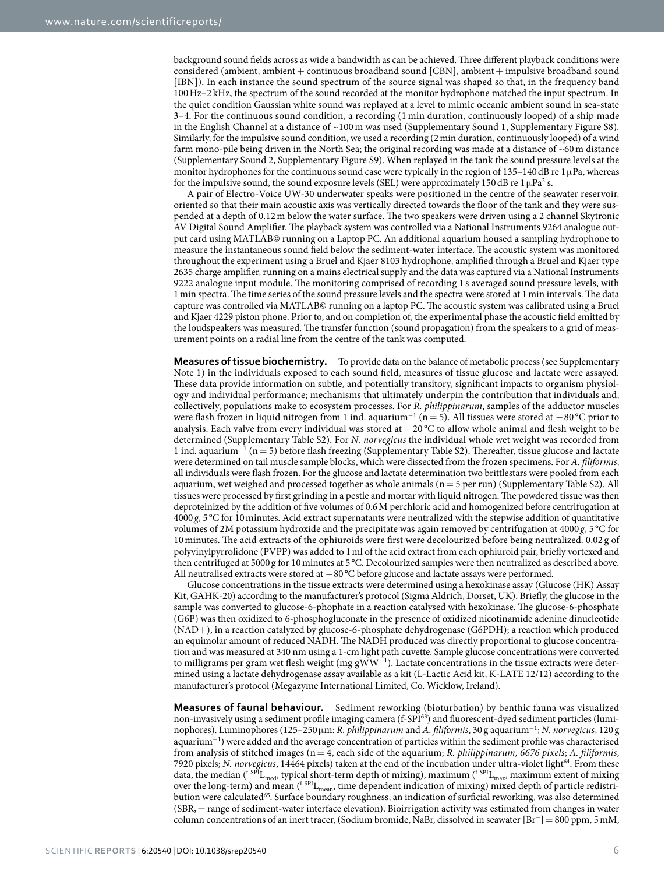background sound fields across as wide a bandwidth as can be achieved. Three different playback conditions were considered (ambient, ambient+ continuous broadband sound [CBN], ambient+ impulsive broadband sound [IBN]). In each instance the sound spectrum of the source signal was shaped so that, in the frequency band 100Hz–2 kHz, the spectrum of the sound recorded at the monitor hydrophone matched the input spectrum. In the quiet condition Gaussian white sound was replayed at a level to mimic oceanic ambient sound in sea-state 3–4. For the continuous sound condition, a recording (1 min duration, continuously looped) of a ship made in the English Channel at a distance of ~100 m was used (Supplementary Sound 1, Supplementary Figure S8). Similarly, for the impulsive sound condition, we used a recording (2min duration, continuously looped) of a wind farm mono-pile being driven in the North Sea; the original recording was made at a distance of ~60 m distance (Supplementary Sound 2, Supplementary Figure S9). When replayed in the tank the sound pressure levels at the monitor hydrophones for the continuous sound case were typically in the region of 135–140 dB re 1 $\mu$ Pa, whereas for the impulsive sound, the sound exposure levels (SEL) were approximately 150 dB re  $1 \mu Pa^2$  s.

A pair of Electro-Voice UW-30 underwater speaks were positioned in the centre of the seawater reservoir, oriented so that their main acoustic axis was vertically directed towards the floor of the tank and they were suspended at a depth of 0.12m below the water surface. The two speakers were driven using a 2 channel Skytronic AV Digital Sound Amplifier. The playback system was controlled via a National Instruments 9264 analogue output card using MATLAB© running on a Laptop PC. An additional aquarium housed a sampling hydrophone to measure the instantaneous sound field below the sediment-water interface. The acoustic system was monitored throughout the experiment using a Bruel and Kjaer 8103 hydrophone, amplified through a Bruel and Kjaer type 2635 charge amplifier, running on a mains electrical supply and the data was captured via a National Instruments 9222 analogue input module. The monitoring comprised of recording 1 s averaged sound pressure levels, with 1min spectra. The time series of the sound pressure levels and the spectra were stored at 1min intervals. The data capture was controlled via MATLAB© running on a laptop PC. The acoustic system was calibrated using a Bruel and Kjaer 4229 piston phone. Prior to, and on completion of, the experimental phase the acoustic field emitted by the loudspeakers was measured. The transfer function (sound propagation) from the speakers to a grid of measurement points on a radial line from the centre of the tank was computed.

**Measures of tissue biochemistry.** To provide data on the balance of metabolic process (see Supplementary Note 1) in the individuals exposed to each sound field, measures of tissue glucose and lactate were assayed. These data provide information on subtle, and potentially transitory, significant impacts to organism physiology and individual performance; mechanisms that ultimately underpin the contribution that individuals and, collectively, populations make to ecosystem processes. For *R. philippinarum*, samples of the adductor muscles were flash frozen in liquid nitrogen from 1 ind. aquarium<sup>-1</sup> (n = 5). All tissues were stored at  $-80^{\circ}$ C prior to analysis. Each valve from every individual was stored at −20 °C to allow whole animal and flesh weight to be determined (Supplementary Table S2). For *N. norvegicus* the individual whole wet weight was recorded from 1 ind. aquarium<sup>−</sup><sup>1</sup> (n= 5) before flash freezing (Supplementary Table S2). Thereafter, tissue glucose and lactate were determined on tail muscle sample blocks, which were dissected from the frozen specimens. For *A. filiformis*, all individuals were flash frozen. For the glucose and lactate determination two brittlestars were pooled from each aquarium, wet weighed and processed together as whole animals  $(n=5$  per run) (Supplementary Table S2). All tissues were processed by first grinding in a pestle and mortar with liquid nitrogen. The powdered tissue was then deproteinized by the addition of five volumes of 0.6M perchloric acid and homogenized before centrifugation at  $4000 g$ ,  $5^{\circ}$ C for 10 minutes. Acid extract supernatants were neutralized with the stepwise addition of quantitative volumes of 2M potassium hydroxide and the precipitate was again removed by centrifugation at 4000 *g*, 5 °C for 10 minutes. The acid extracts of the ophiuroids were first were decolourized before being neutralized. 0.02 g of polyvinylpyrrolidone (PVPP) was added to 1ml of the acid extract from each ophiuroid pair, briefly vortexed and then centrifuged at 5000 g for 10minutes at 5 °C. Decolourized samples were then neutralized as described above. All neutralised extracts were stored at −80 °C before glucose and lactate assays were performed.

Glucose concentrations in the tissue extracts were determined using a hexokinase assay (Glucose (HK) Assay Kit, GAHK-20) according to the manufacturer's protocol (Sigma Aldrich, Dorset, UK). Briefly, the glucose in the sample was converted to glucose-6-phophate in a reaction catalysed with hexokinase. The glucose-6-phosphate (G6P) was then oxidized to 6-phosphogluconate in the presence of oxidized nicotinamide adenine dinucleotide (NAD+), in a reaction catalyzed by glucose-6-phosphate dehydrogenase (G6PDH); a reaction which produced an equimolar amount of reduced NADH. The NADH produced was directly proportional to glucose concentration and was measured at 340 nm using a 1-cm light path cuvette. Sample glucose concentrations were converted to milligrams per gram wet flesh weight (mg gWW<sup>-1</sup>). Lactate concentrations in the tissue extracts were determined using a lactate dehydrogenase assay available as a kit (L-Lactic Acid kit, K-LATE 12/12) according to the manufacturer's protocol (Megazyme International Limited, Co. Wicklow, Ireland).

**Measures of faunal behaviour.** Sediment reworking (bioturbation) by benthic fauna was visualized non-invasively using a sediment profile imaging camera (f-SP[I63\)](#page-7-31) and fluorescent-dyed sediment particles (luminophores). Luminophores (125–250μm: *R. philippinarum* and *A. filiformis*, 30 g aquarium<sup>−</sup><sup>1</sup> ; *N. norvegicus*, 120 g aquarium<sup>−</sup><sup>1</sup> ) were added and the average concentration of particles within the sediment profile was characterised from analysis of stitched images (n= 4, each side of the aquarium; *R. philippinarum, 6676 pixels*; *A. filiformis*, 7920 pixels; *N. norvegicus*, 144[64](#page-7-32) pixels) taken at the end of the incubation under ultra-violet light<sup>64</sup>. From these data, the median (<sup>f-SPI</sup>L<sub>med</sub>, typical short-term depth of mixing), maximum (<sup>f-SPI</sup>L<sub>max</sub>, maximum extent of mixing over the long-term) and mean  $(^{f-SPI}L_{mean}$ , time dependent indication of mixing) mixed depth of particle redistribution were calculated<sup>65</sup>. Surface boundary roughness, an indication of surficial reworking, was also determined  $(SBR, = \text{range of sediment-water interface elevation})$ . Bioirrigation activity was estimated from changes in water column concentrations of an inert tracer, (Sodium bromide, NaBr, dissolved in seawater [Br<sup>−</sup>]= 800 ppm, 5mM,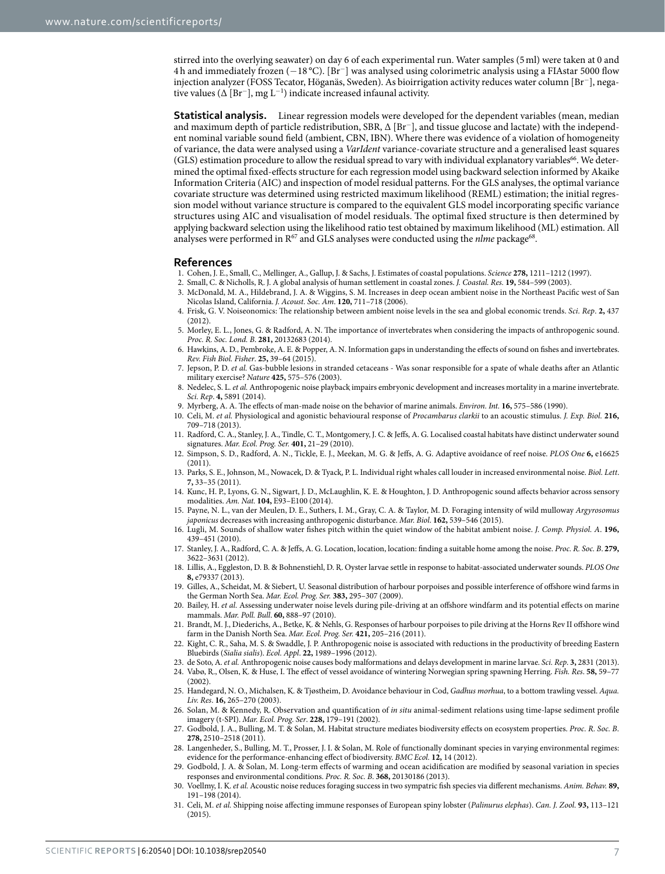stirred into the overlying seawater) on day 6 of each experimental run. Water samples (5ml) were taken at 0 and 4 h and immediately frozen (−18 °C). [Br<sup>−</sup>] was analysed using colorimetric analysis using a FIAstar 5000 flow injection analyzer (FOSS Tecator, Höganäs, Sweden). As bioirrigation activity reduces water column [Br<sup>−</sup>], negative values ( $\Delta$  [Br<sup>-</sup>], mg L<sup>-1</sup>) indicate increased infaunal activity.

**Statistical analysis.** Linear regression models were developed for the dependent variables (mean, median and maximum depth of particle redistribution, SBR, ∆ [Br<sup>−</sup>], and tissue glucose and lactate) with the independent nominal variable sound field (ambient, CBN, IBN). Where there was evidence of a violation of homogeneity of variance, the data were analysed using a *VarIdent* variance-covariate structure and a generalised least squares (GLS) estimation procedure to allow the residual spread to vary with individual explanatory variables<sup>[66](#page-7-34)</sup>. We determined the optimal fixed-effects structure for each regression model using backward selection informed by Akaike Information Criteria (AIC) and inspection of model residual patterns. For the GLS analyses, the optimal variance covariate structure was determined using restricted maximum likelihood (REML) estimation; the initial regression model without variance structure is compared to the equivalent GLS model incorporating specific variance structures using AIC and visualisation of model residuals. The optimal fixed structure is then determined by applying backward selection using the likelihood ratio test obtained by maximum likelihood (ML) estimation. All analyses were performed in R<sup>67</sup> and GLS analyses were conducted using the *nlme* package<sup>[68](#page-7-36)</sup>.

#### **References**

- <span id="page-6-0"></span>1. Cohen, J. E., Small, C., Mellinger, A., Gallup, J. & Sachs, J. Estimates of coastal populations. *Science* **278,** 1211–1212 (1997).
- <span id="page-6-1"></span>2. Small, C. & Nicholls, R. J. A global analysis of human settlement in coastal zones. *J. Coastal. Res.* **19,** 584–599 (2003).
- <span id="page-6-2"></span>3. McDonald, M. A., Hildebrand, J. A. & Wiggins, S. M. Increases in deep ocean ambient noise in the Northeast Pacific west of San Nicolas Island, California. *J. Acoust. Soc. Am*. **120,** 711–718 (2006).
- <span id="page-6-3"></span>4. Frisk, G. V. Noiseonomics: The relationship between ambient noise levels in the sea and global economic trends. *Sci. Rep*. **2,** 437  $(2012)$
- <span id="page-6-4"></span>5. Morley, E. L., Jones, G. & Radford, A. N. The importance of invertebrates when considering the impacts of anthropogenic sound. *Proc. R. Soc. Lond. B*. **281,** 20132683 (2014).
- <span id="page-6-5"></span>6. Hawkins, A. D., Pembroke, A. E. & Popper, A. N. Information gaps in understanding the effects of sound on fishes and invertebrates. *Rev. Fish Biol. Fisher*. **25,** 39–64 (2015).
- <span id="page-6-6"></span>7. Jepson, P. D. *et al.* Gas-bubble lesions in stranded cetaceans - Was sonar responsible for a spate of whale deaths after an Atlantic military exercise? *Nature* **425,** 575–576 (2003).
- <span id="page-6-7"></span>8. Nedelec, S. L. *et al.* Anthropogenic noise playback impairs embryonic development and increases mortality in a marine invertebrate. *Sci. Rep*. **4,** 5891 (2014).
- <span id="page-6-9"></span><span id="page-6-8"></span>9. Myrberg, A. A. The effects of man-made noise on the behavior of marine animals. *Environ. Int.* **16,** 575–586 (1990).
- 10. Celi, M. *et al.* Physiological and agonistic behavioural response of *Procambarus clarkii* to an acoustic stimulus. *J. Exp. Biol.* **216,** 709–718 (2013).
- <span id="page-6-10"></span>11. Radford, C. A., Stanley, J. A., Tindle, C. T., Montgomery, J. C. & Jeffs, A. G. Localised coastal habitats have distinct underwater sound signatures. *Mar. Ecol. Prog. Ser.* **401,** 21–29 (2010).
- <span id="page-6-11"></span>12. Simpson, S. D., Radford, A. N., Tickle, E. J., Meekan, M. G. & Jeffs, A. G. Adaptive avoidance of reef noise. *PLOS One* **6,** e16625  $(2011)$ .
- <span id="page-6-12"></span>13. Parks, S. E., Johnson, M., Nowacek, D. & Tyack, P. L. Individual right whales call louder in increased environmental noise. *Biol. Lett*. **7,** 33–35 (2011).
- 14. Kunc, H. P., Lyons, G. N., Sigwart, J. D., McLaughlin, K. E. & Houghton, J. D. Anthropogenic sound affects behavior across sensory modalities. *Am. Nat.* **104,** E93–E100 (2014).
- 15. Payne, N. L., van der Meulen, D. E., Suthers, I. M., Gray, C. A. & Taylor, M. D. Foraging intensity of wild mulloway *Argyrosomus japonicus* decreases with increasing anthropogenic disturbance. *Mar. Biol*. **162,** 539–546 (2015).
- <span id="page-6-13"></span>16. Lugli, M. Sounds of shallow water fishes pitch within the quiet window of the habitat ambient noise. *J. Comp. Physiol. A*. **196,** 439–451 (2010).
- 17. Stanley, J. A., Radford, C. A. & Jeffs, A. G. Location, location, location: finding a suitable home among the noise. *Proc. R. Soc. B*. **279,** 3622–3631 (2012).
- 18. Lillis, A., Eggleston, D. B. & Bohnenstiehl, D. R. Oyster larvae settle in response to habitat-associated underwater sounds. *PLOS One* **8,** e79337 (2013).
- <span id="page-6-14"></span>19. Gilles, A., Scheidat, M. & Siebert, U. Seasonal distribution of harbour porpoises and possible interference of offshore wind farms in the German North Sea. *Mar. Ecol. Prog. Ser.* **383,** 295–307 (2009).
- 20. Bailey, H. *et al.* Assessing underwater noise levels during pile-driving at an offshore windfarm and its potential effects on marine mammals. *Mar. Poll. Bull*. **60,** 888–97 (2010).
- 21. Brandt, M. J., Diederichs, A., Betke, K. & Nehls, G. Responses of harbour porpoises to pile driving at the Horns Rev II offshore wind farm in the Danish North Sea. *Mar. Ecol. Prog. Ser.* **421,** 205–216 (2011).
- <span id="page-6-15"></span>22. Kight, C. R., Saha, M. S. & Swaddle, J. P. Anthropogenic noise is associated with reductions in the productivity of breeding Eastern Bluebirds (*Sialia sialis*). *Ecol. Appl*. **22,** 1989–1996 (2012).
- <span id="page-6-16"></span>23. de Soto, A. *et al.* Anthropogenic noise causes body malformations and delays development in marine larvae. *Sci. Rep*. **3,** 2831 (2013).
- <span id="page-6-17"></span>24. Vabø, R., Olsen, K. & Huse, I. The effect of vessel avoidance of wintering Norwegian spring spawning Herring. *Fish. Res*. **58,** 59–77  $(2002)$
- <span id="page-6-18"></span>25. Handegard, N. O., Michalsen, K. & Tjøstheim, D. Avoidance behaviour in Cod, *Gadhus morhua*, to a bottom trawling vessel. *Aqua. Liv. Res*. **16,** 265–270 (2003).
- <span id="page-6-19"></span>26. Solan, M. & Kennedy, R. Observation and quantification of *in situ* animal-sediment relations using time-lapse sediment profile imagery (t-SPI). *Mar. Ecol. Prog. Ser*. **228,** 179–191 (2002).
- <span id="page-6-20"></span>27. Godbold, J. A., Bulling, M. T. & Solan, M. Habitat structure mediates biodiversity effects on ecosystem properties. *Proc. R. Soc. B*. **278,** 2510–2518 (2011).
- <span id="page-6-21"></span>28. Langenheder, S., Bulling, M. T., Prosser, J. I. & Solan, M. Role of functionally dominant species in varying environmental regimes: evidence for the performance-enhancing effect of biodiversity. *BMC Ecol.* **12,** 14 (2012).
- <span id="page-6-22"></span>29. Godbold, J. A. & Solan, M. Long-term effects of warming and ocean acidification are modified by seasonal variation in species responses and environmental conditions. *Proc. R. Soc. B*. **368,** 20130186 (2013).
- <span id="page-6-23"></span>30. Voellmy, I. K. *et al.* Acoustic noise reduces foraging success in two sympatric fish species via different mechanisms. *Anim. Behav.* **89,** 191–198 (2014).
- <span id="page-6-24"></span>31. Celi, M. *et al.* Shipping noise affecting immune responses of European spiny lobster (*Palinurus elephas*). *Can. J. Zool.* **93,** 113–121 (2015).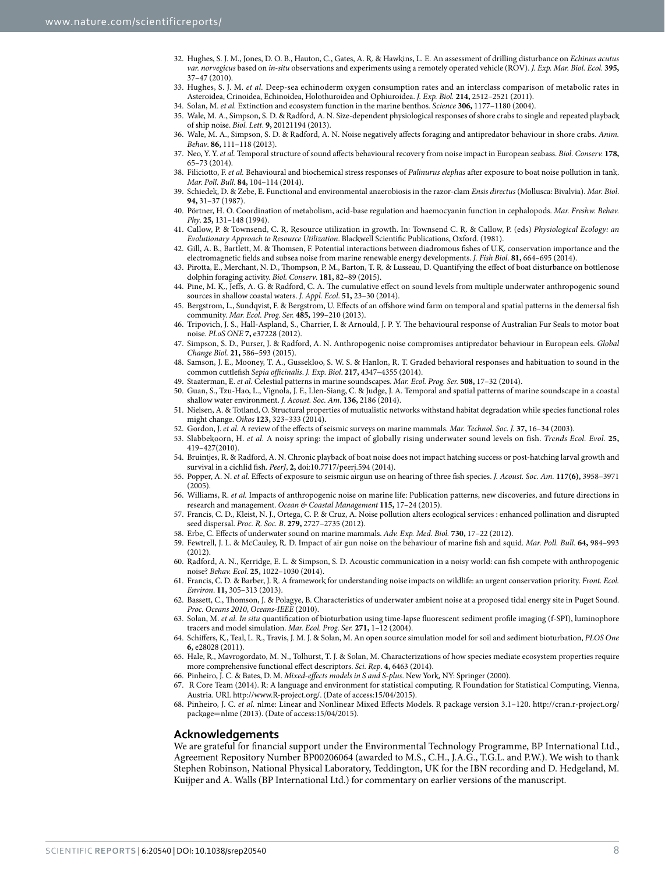- <span id="page-7-0"></span>32. Hughes, S. J. M., Jones, D. O. B., Hauton, C., Gates, A. R. & Hawkins, L. E. An assessment of drilling disturbance on *Echinus acutus var. norvegicus* based on *in-situ* observations and experiments using a remotely operated vehicle (ROV). *J. Exp. Mar. Biol. Ecol.* **395,** 37–47 (2010).
- <span id="page-7-1"></span>33. Hughes, S. J. M. *et al.* Deep-sea echinoderm oxygen consumption rates and an interclass comparison of metabolic rates in Asteroidea, Crinoidea, Echinoidea, Holothuroidea and Ophiuroidea. *J. Exp. Biol.* **214,** 2512–2521 (2011).
- <span id="page-7-3"></span><span id="page-7-2"></span>34. Solan, M. *et al.* Extinction and ecosystem function in the marine benthos. *Science* **306,** 1177–1180 (2004).
- 35. Wale, M. A., Simpson, S. D. & Radford, A. N. Size-dependent physiological responses of shore crabs to single and repeated playback of ship noise. *Biol. Lett*. **9,** 20121194 (2013).
- <span id="page-7-4"></span>36. Wale, M. A., Simpson, S. D. & Radford, A. N. Noise negatively affects foraging and antipredator behaviour in shore crabs. *Anim. Behav*. **86,** 111–118 (2013).
- <span id="page-7-5"></span>37. Neo, Y. Y. *et al.* Temporal structure of sound affects behavioural recovery from noise impact in European seabass. *Biol. Conserv.* **178,** 65–73 (2014).
- <span id="page-7-6"></span>38. Filiciotto, F. *et al.* Behavioural and biochemical stress responses of *Palinurus elephas* after exposure to boat noise pollution in tank. *Mar. Poll. Bull*. **84,** 104–114 (2014).
- <span id="page-7-7"></span>39. Schiedek, D. & Zebe, E. Functional and environmental anaerobiosis in the razor-clam *Ensis directus* (Mollusca: Bivalvia). *Mar. Biol*. **94,** 31–37 (1987).
- <span id="page-7-8"></span>40. Pörtner, H. O. Coordination of metabolism, acid-base regulation and haemocyanin function in cephalopods. *Mar. Freshw. Behav. Phy*. **25,** 131–148 (1994).
- <span id="page-7-9"></span>41. Callow, P. & Townsend, C. R. Resource utilization in growth. In: Townsend C. R. & Callow, P. (eds) *Physiological Ecology: an Evolutionary Approach to Resource Utilization*. Blackwell Scientific Publications, Oxford. (1981).
- <span id="page-7-10"></span>42. Gill, A. B., Bartlett, M. & Thomsen, F. Potential interactions between diadromous fishes of U.K. conservation importance and the electromagnetic fields and subsea noise from marine renewable energy developments. *J. Fish Biol*. **81,** 664–695 (2014).
- <span id="page-7-11"></span>43. Pirotta, E., Merchant, N. D., Thompson, P. M., Barton, T. R. & Lusseau, D. Quantifying the effect of boat disturbance on bottlenose dolphin foraging activity. *Biol. Conserv*. **181,** 82–89 (2015).
- <span id="page-7-12"></span>44. Pine, M. K., Jeffs, A. G. & Radford, C. A. The cumulative effect on sound levels from multiple underwater anthropogenic sound sources in shallow coastal waters. *J. Appl. Ecol*. **51,** 23–30 (2014).
- <span id="page-7-13"></span>45. Bergstrom, L., Sundqvist, F. & Bergstrom, U. Effects of an offshore wind farm on temporal and spatial patterns in the demersal fish community. *Mar. Ecol. Prog. Ser.* **485,** 199–210 (2013).
- <span id="page-7-14"></span>46. Tripovich, J. S., Hall-Aspland, S., Charrier, I. & Arnould, J. P. Y. The behavioural response of Australian Fur Seals to motor boat noise. *PLoS ONE* **7,** e37228 (2012).
- <span id="page-7-15"></span>47. Simpson, S. D., Purser, J. & Radford, A. N. Anthropogenic noise compromises antipredator behaviour in European eels. *Global Change Biol.* **21,** 586–593 (2015).
- <span id="page-7-16"></span>48. Samson, J. E., Mooney, T. A., Gussekloo, S. W. S. & Hanlon, R. T. Graded behavioral responses and habituation to sound in the common cuttlefish *Sepia officinalis*. *J. Exp. Biol*. **217,** 4347–4355 (2014).
- <span id="page-7-17"></span>49. Staaterman, E. *et al.* Celestial patterns in marine soundscapes. *Mar. Ecol. Prog. Ser.* **508,** 17–32 (2014).
- <span id="page-7-18"></span>50. Guan, S., Tzu-Hao, L., Vignola, J. F., Llen-Siang, C. & Judge, J. A. Temporal and spatial patterns of marine soundscape in a coastal shallow water environment. *J. Acoust. Soc. Am.* **136,** 2186 (2014).
- <span id="page-7-19"></span>51. Nielsen, A. & Totland, O. Structural properties of mutualistic networks withstand habitat degradation while species functional roles might change. *Oikos* **123,** 323–333 (2014).
- <span id="page-7-20"></span>52. Gordon, J. *et al.* A review of the effects of seismic surveys on marine mammals. *Mar. Technol. Soc. J.* **37,** 16–34 (2003).
- <span id="page-7-21"></span>53. Slabbekoorn, H. *et al.* A noisy spring: the impact of globally rising underwater sound levels on fish. *Trends Ecol. Evol.* **25,** 419–427(2010).
- <span id="page-7-22"></span>54. Bruintjes, R. & Radford, A. N. Chronic playback of boat noise does not impact hatching success or post-hatching larval growth and survival in a cichlid fish. *PeerJ*, **2,** doi:10.7717/peerj.594 (2014).
- <span id="page-7-23"></span>55. Popper, A. N. *et al.* Effects of exposure to seismic airgun use on hearing of three fish species. *J. Acoust. Soc. Am.* **117(6),** 3958–3971 (2005).
- <span id="page-7-24"></span>56. Williams, R. *et al.* Impacts of anthropogenic noise on marine life: Publication patterns, new discoveries, and future directions in research and management. *Ocean & Coastal Management* **115,** 17–24 (2015).
- <span id="page-7-25"></span>57. Francis, C. D., Kleist, N. J., Ortega, C. P. & Cruz, A. Noise pollution alters ecological services : enhanced pollination and disrupted seed dispersal. *Proc. R. Soc. B*. **279,** 2727–2735 (2012).
- <span id="page-7-26"></span>58. Erbe, C. Effects of underwater sound on marine mammals. *Adv. Exp. Med. Biol.* **730,** 17–22 (2012).
- <span id="page-7-27"></span>59. Fewtrell, J. L. & McCauley, R. D. Impact of air gun noise on the behaviour of marine fish and squid. *Mar. Poll. Bull*. **64,** 984–993  $(2012)$
- <span id="page-7-28"></span>60. Radford, A. N., Kerridge, E. L. & Simpson, S. D. Acoustic communication in a noisy world: can fish compete with anthropogenic noise? *Behav. Ecol.* **25,** 1022–1030 (2014).
- <span id="page-7-29"></span>61. Francis, C. D. & Barber, J. R. A framework for understanding noise impacts on wildlife: an urgent conservation priority. *Front. Ecol. Environ*. **11,** 305–313 (2013).
- <span id="page-7-30"></span>62. Bassett, C., Thomson, J. & Polagye, B. Characteristics of underwater ambient noise at a proposed tidal energy site in Puget Sound. *Proc. Oceans 2010*, *Oceans-IEEE* (2010).
- <span id="page-7-31"></span>63. Solan, M. *et al. In situ* quantification of bioturbation using time-lapse fluorescent sediment profile imaging (f-SPI), luminophore tracers and model simulation. *Mar. Ecol. Prog. Ser.* **271,** 1–12 (2004).
- <span id="page-7-32"></span>64. Schiffers, K., Teal, L. R., Travis, J. M. J. & Solan, M. An open source simulation model for soil and sediment bioturbation, *PLOS One* **6,** e28028 (2011).
- <span id="page-7-33"></span>65. Hale, R., Mavrogordato, M. N., Tolhurst, T. J. & Solan, M. Characterizations of how species mediate ecosystem properties require more comprehensive functional effect descriptors. *Sci. Rep*. **4,** 6463 (2014).
- <span id="page-7-34"></span>66. Pinheiro, J. C. & Bates, D. M. *Mixed-effects models in S and S-plus*. New York, NY: Springer (2000).
- <span id="page-7-35"></span>67. R Core Team (2014). R: A language and environment for statistical computing. R Foundation for Statistical Computing, Vienna, Austria. URL [http://www.R-project.org/.](http://www.R-project.org/) (Date of access:15/04/2015).
- <span id="page-7-36"></span>68. Pinheiro, J. C. *et al.* nlme: Linear and Nonlinear Mixed Effects Models. R package version 3.1–120. [http://cran.r-project.org/](http://cran.r-project.org/package=nlme) [package](http://cran.r-project.org/package=nlme)=nlme (2013). (Date of access:15/04/2015).

#### **Acknowledgements**

We are grateful for financial support under the Environmental Technology Programme, BP International Ltd., Agreement Repository Number BP00206064 (awarded to M.S., C.H., J.A.G., T.G.L. and P.W.). We wish to thank Stephen Robinson, National Physical Laboratory, Teddington, UK for the IBN recording and D. Hedgeland, M. Kuijper and A. Walls (BP International Ltd.) for commentary on earlier versions of the manuscript.